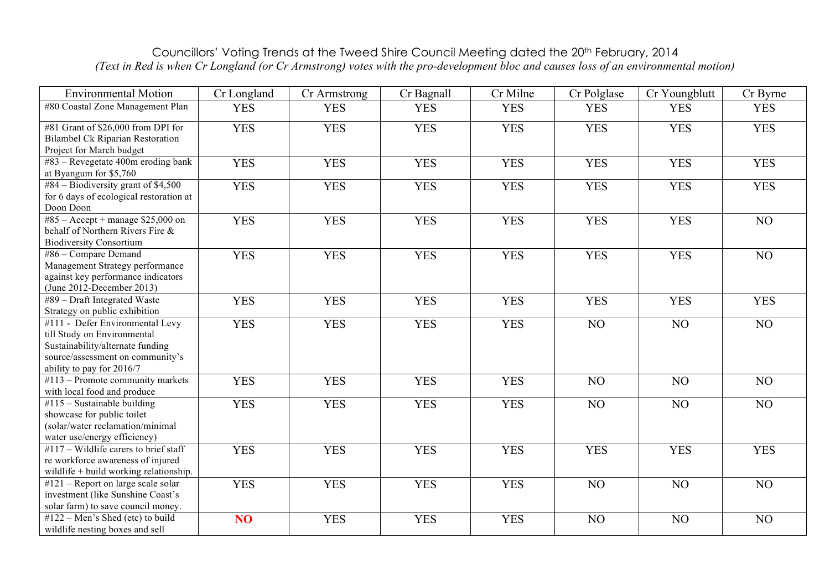## Councillors' Voting Trends at the Tweed Shire Council Meeting dated the 20th February, 2014 *(Text in Red is when Cr Longland (or Cr Armstrong) votes with the pro-development bloc and causes loss of an environmental motion)*

| <b>Environmental Motion</b>                                                                                                                                         | Cr Longland     | Cr Armstrong | Cr Bagnall | Cr Milne   | Cr Polglase | Cr Youngblutt | Cr Byrne   |
|---------------------------------------------------------------------------------------------------------------------------------------------------------------------|-----------------|--------------|------------|------------|-------------|---------------|------------|
| #80 Coastal Zone Management Plan                                                                                                                                    | <b>YES</b>      | <b>YES</b>   | <b>YES</b> | <b>YES</b> | <b>YES</b>  | <b>YES</b>    | <b>YES</b> |
| #81 Grant of \$26,000 from DPI for<br><b>Bilambel Ck Riparian Restoration</b><br>Project for March budget                                                           | <b>YES</b>      | <b>YES</b>   | <b>YES</b> | <b>YES</b> | <b>YES</b>  | <b>YES</b>    | <b>YES</b> |
| #83 - Revegetate 400m eroding bank<br>at Byangum for \$5,760                                                                                                        | <b>YES</b>      | <b>YES</b>   | <b>YES</b> | <b>YES</b> | <b>YES</b>  | <b>YES</b>    | <b>YES</b> |
| #84 – Biodiversity grant of \$4,500<br>for 6 days of ecological restoration at<br>Doon Doon                                                                         | <b>YES</b>      | <b>YES</b>   | <b>YES</b> | <b>YES</b> | <b>YES</b>  | <b>YES</b>    | <b>YES</b> |
| #85 – Accept + manage $$25,000$ on<br>behalf of Northern Rivers Fire &<br><b>Biodiversity Consortium</b>                                                            | <b>YES</b>      | <b>YES</b>   | <b>YES</b> | <b>YES</b> | <b>YES</b>  | <b>YES</b>    | NO         |
| #86 - Compare Demand<br>Management Strategy performance<br>against key performance indicators<br>(June 2012-December 2013)                                          | <b>YES</b>      | <b>YES</b>   | <b>YES</b> | <b>YES</b> | <b>YES</b>  | <b>YES</b>    | NO         |
| #89 - Draft Integrated Waste<br>Strategy on public exhibition                                                                                                       | <b>YES</b>      | <b>YES</b>   | <b>YES</b> | <b>YES</b> | <b>YES</b>  | <b>YES</b>    | <b>YES</b> |
| #111 - Defer Environmental Levy<br>till Study on Environmental<br>Sustainability/alternate funding<br>source/assessment on community's<br>ability to pay for 2016/7 | <b>YES</b>      | <b>YES</b>   | <b>YES</b> | <b>YES</b> | NO          | NO            | NO         |
| $#113$ – Promote community markets<br>with local food and produce                                                                                                   | <b>YES</b>      | <b>YES</b>   | <b>YES</b> | <b>YES</b> | NO          | NO            | NO         |
| $#115$ – Sustainable building<br>showcase for public toilet<br>(solar/water reclamation/minimal<br>water use/energy efficiency)                                     | <b>YES</b>      | <b>YES</b>   | <b>YES</b> | <b>YES</b> | NO          | NO            | NO         |
| #117 – Wildlife carers to brief staff<br>re workforce awareness of injured<br>wildlife + build working relationship.                                                | <b>YES</b>      | <b>YES</b>   | <b>YES</b> | <b>YES</b> | <b>YES</b>  | <b>YES</b>    | <b>YES</b> |
| $#121$ – Report on large scale solar<br>investment (like Sunshine Coast's<br>solar farm) to save council money.                                                     | <b>YES</b>      | <b>YES</b>   | <b>YES</b> | <b>YES</b> | NO          | NO            | NO         |
| #122 – Men's Shed (etc) to build<br>wildlife nesting boxes and sell                                                                                                 | NO <sub>1</sub> | <b>YES</b>   | <b>YES</b> | <b>YES</b> | NO          | NO            | NO         |